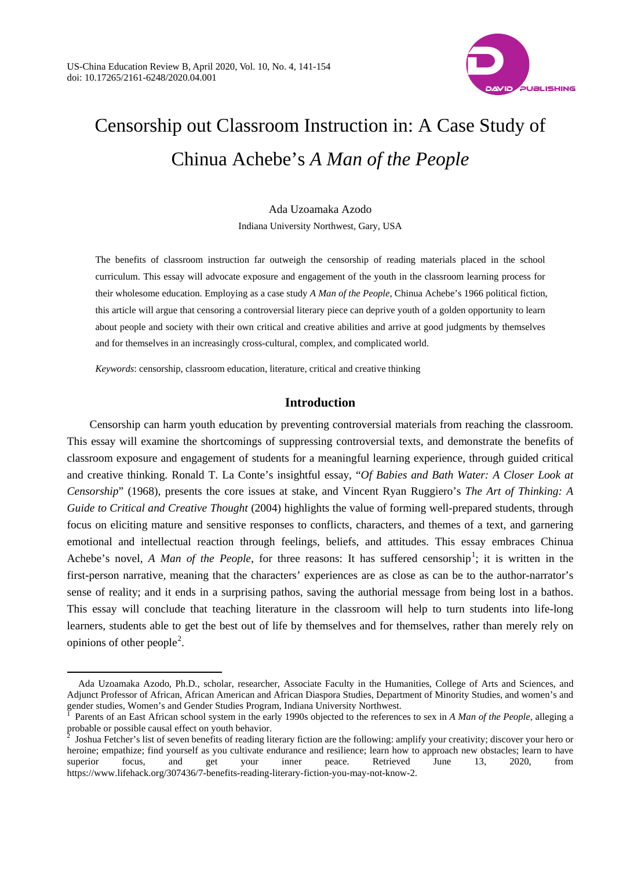

# Censorship out Classroom Instruction in: A Case Study of Chinua Achebe's *A Man of the People*

Ada Uzoamaka Azodo Indiana University Northwest, Gary, USA

The benefits of classroom instruction far outweigh the censorship of reading materials placed in the school curriculum. This essay will advocate exposure and engagement of the youth in the classroom learning process for their wholesome education. Employing as a case study *A Man of the People*, Chinua Achebe's 1966 political fiction, this article will argue that censoring a controversial literary piece can deprive youth of a golden opportunity to learn about people and society with their own critical and creative abilities and arrive at good judgments by themselves and for themselves in an increasingly cross-cultural, complex, and complicated world.

*Keywords*: censorship, classroom education, literature, critical and creative thinking

 $\ddot{ }$ 

# **Introduction**

Censorship can harm youth education by preventing controversial materials from reaching the classroom. This essay will examine the shortcomings of suppressing controversial texts, and demonstrate the benefits of classroom exposure and engagement of students for a meaningful learning experience, through guided critical and creative thinking. Ronald T. La Conte's insightful essay, "*Of Babies and Bath Water: A Closer Look at Censorship*" (1968), presents the core issues at stake, and Vincent Ryan Ruggiero's *The Art of Thinking: A Guide to Critical and Creative Thought* (2004) highlights the value of forming well-prepared students, through focus on eliciting mature and sensitive responses to conflicts, characters, and themes of a text, and garnering emotional and intellectual reaction through feelings, beliefs, and attitudes. This essay embraces Chinua Achebe's novel, *A Man of the People*, for three reasons: It has suffered censorship<sup>[1](#page-0-0)</sup>; it is written in the first-person narrative, meaning that the characters' experiences are as close as can be to the author-narrator's sense of reality; and it ends in a surprising pathos, saving the authorial message from being lost in a bathos. This essay will conclude that teaching literature in the classroom will help to turn students into life-long learners, students able to get the best out of life by themselves and for themselves, rather than merely rely on opinions of other people<sup>[2](#page-0-1)</sup>.

Ada Uzoamaka Azodo, Ph.D., scholar, researcher, Associate Faculty in the Humanities, College of Arts and Sciences, and Adjunct Professor of African, African American and African Diaspora Studies, Department of Minority Studies, and women's and gender studies, Women's and Gender Studies Program, Indiana University Northwest.<br><sup>1</sup> Parents of an East African school system in the early 1990s objected to the references to sex in *A Man of the People*, alleging a

<span id="page-0-0"></span>probable or possible causal effect on youth behavior.

<span id="page-0-1"></span><sup>2</sup> Joshua Fetcher's list of seven benefits of reading literary fiction are the following: amplify your creativity; discover your hero or heroine; empathize; find yourself as you cultivate endurance and resilience; learn how to approach new obstacles; learn to have superior focus, and get your inner peace. Retrieved June 13, 2020, from [https://www.lifehack.org/307436/7-benefits-reading-literary-fiction-you-may-not-know-2.](https://www.lifehack.org/307436/7-benefits-reading-literary-fiction-you-may-not-know-2)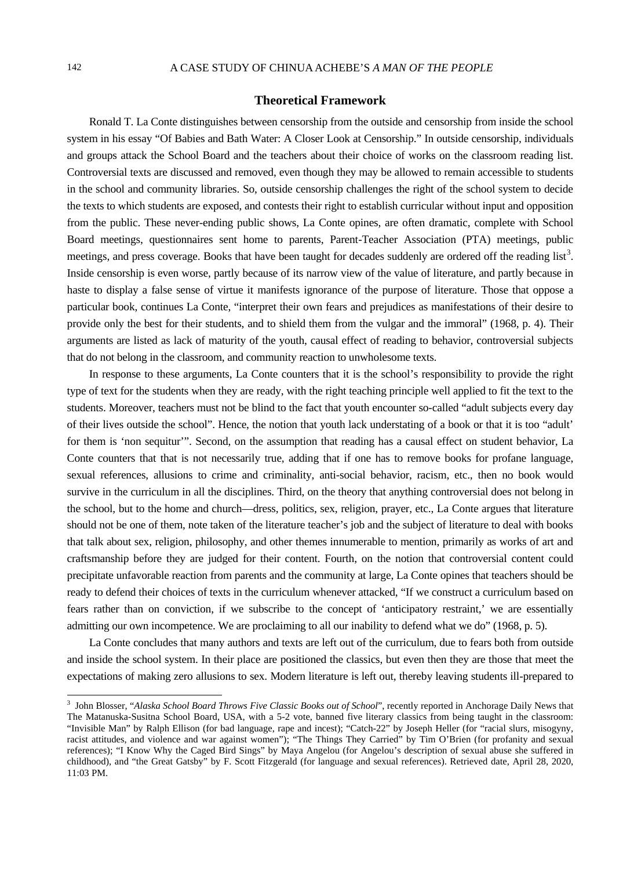# **Theoretical Framework**

Ronald T. La Conte distinguishes between censorship from the outside and censorship from inside the school system in his essay "Of Babies and Bath Water: A Closer Look at Censorship." In outside censorship, individuals and groups attack the School Board and the teachers about their choice of works on the classroom reading list. Controversial texts are discussed and removed, even though they may be allowed to remain accessible to students in the school and community libraries. So, outside censorship challenges the right of the school system to decide the texts to which students are exposed, and contests their right to establish curricular without input and opposition from the public. These never-ending public shows, La Conte opines, are often dramatic, complete with School Board meetings, questionnaires sent home to parents, Parent-Teacher Association (PTA) meetings, public meetings, and press coverage. Books that have been taught for decades suddenly are ordered off the reading list<sup>[3](#page-1-0)</sup>. Inside censorship is even worse, partly because of its narrow view of the value of literature, and partly because in haste to display a false sense of virtue it manifests ignorance of the purpose of literature. Those that oppose a particular book, continues La Conte, "interpret their own fears and prejudices as manifestations of their desire to provide only the best for their students, and to shield them from the vulgar and the immoral" (1968, p. 4). Their arguments are listed as lack of maturity of the youth, causal effect of reading to behavior, controversial subjects that do not belong in the classroom, and community reaction to unwholesome texts.

In response to these arguments, La Conte counters that it is the school's responsibility to provide the right type of text for the students when they are ready, with the right teaching principle well applied to fit the text to the students. Moreover, teachers must not be blind to the fact that youth encounter so-called "adult subjects every day of their lives outside the school". Hence, the notion that youth lack understating of a book or that it is too "adult' for them is 'non sequitur'". Second, on the assumption that reading has a causal effect on student behavior, La Conte counters that that is not necessarily true, adding that if one has to remove books for profane language, sexual references, allusions to crime and criminality, anti-social behavior, racism, etc., then no book would survive in the curriculum in all the disciplines. Third, on the theory that anything controversial does not belong in the school, but to the home and church—dress, politics, sex, religion, prayer, etc., La Conte argues that literature should not be one of them, note taken of the literature teacher's job and the subject of literature to deal with books that talk about sex, religion, philosophy, and other themes innumerable to mention, primarily as works of art and craftsmanship before they are judged for their content. Fourth, on the notion that controversial content could precipitate unfavorable reaction from parents and the community at large, La Conte opines that teachers should be ready to defend their choices of texts in the curriculum whenever attacked, "If we construct a curriculum based on fears rather than on conviction, if we subscribe to the concept of 'anticipatory restraint,' we are essentially admitting our own incompetence. We are proclaiming to all our inability to defend what we do" (1968, p. 5).

La Conte concludes that many authors and texts are left out of the curriculum, due to fears both from outside and inside the school system. In their place are positioned the classics, but even then they are those that meet the expectations of making zero allusions to sex. Modern literature is left out, thereby leaving students ill-prepared to

<span id="page-1-0"></span><sup>&</sup>lt;sup>3</sup> John Blosser, "Alaska School Board Throws Five Classic Books out of School", recently reported in Anchorage Daily News that The Matanuska-Susitna School Board, USA, with a 5-2 vote, banned five literary classics from being taught in the classroom: "Invisible Man" by Ralph Ellison (for bad language, rape and incest); "Catch-22" by Joseph Heller (for "racial slurs, misogyny, racist attitudes, and violence and war against women"); "The Things They Carried" by Tim O'Brien (for profanity and sexual references); "I Know Why the Caged Bird Sings" by Maya Angelou (for Angelou's description of sexual abuse she suffered in childhood), and "the Great Gatsby" by F. Scott Fitzgerald (for language and sexual references). Retrieved date, April 28, 2020, 11:03 PM.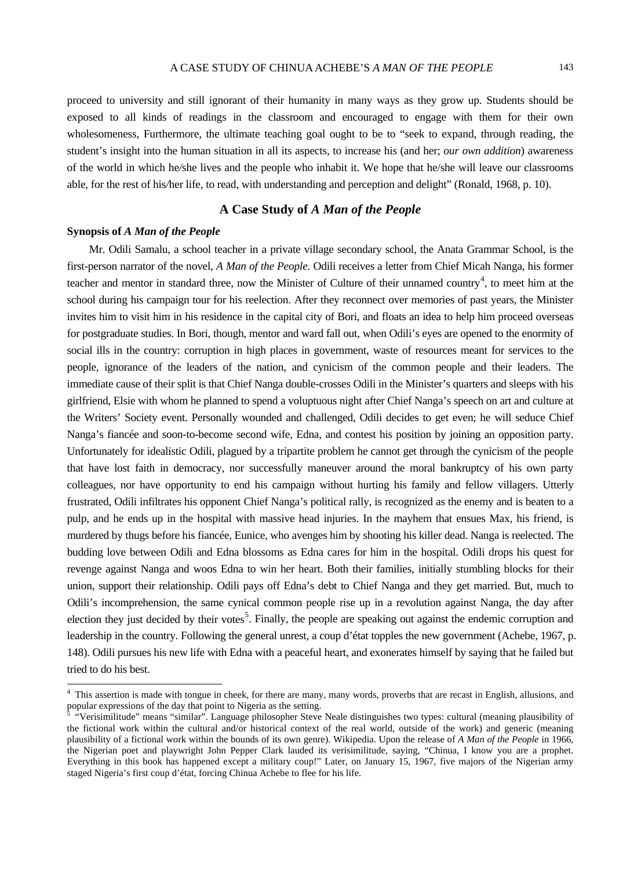proceed to university and still ignorant of their humanity in many ways as they grow up. Students should be exposed to all kinds of readings in the classroom and encouraged to engage with them for their own wholesomeness, Furthermore, the ultimate teaching goal ought to be to "seek to expand, through reading, the student's insight into the human situation in all its aspects, to increase his (and her; *our own addition*) awareness of the world in which he*/*she lives and the people who inhabit it. We hope that he/she will leave our classrooms able, for the rest of his*/*her life, to read, with understanding and perception and delight" (Ronald, 1968, p. 10).

# **A Case Study of** *A Man of the People*

#### **Synopsis of** *A Man of the People*

Mr. Odili Samalu, a school teacher in a private village secondary school, the Anata Grammar School, is the first-person narrator of the novel, *A Man of the People*. Odili receives a letter from Chief Micah Nanga, his former teacher and mentor in standard three, now the Minister of Culture of their unnamed country<sup>[4](#page-2-0)</sup>, to meet him at the school during his campaign tour for his reelection. After they reconnect over memories of past years, the Minister invites him to visit him in his residence in the capital city of Bori, and floats an idea to help him proceed overseas for postgraduate studies. In Bori, though, mentor and ward fall out, when Odili's eyes are opened to the enormity of social ills in the country: corruption in high places in government, waste of resources meant for services to the people, ignorance of the leaders of the nation, and cynicism of the common people and their leaders. The immediate cause of their split is that Chief Nanga double-crosses Odili in the Minister's quarters and sleeps with his girlfriend, Elsie with whom he planned to spend a voluptuous night after Chief Nanga's speech on art and culture at the Writers' Society event. Personally wounded and challenged, Odili decides to get even; he will seduce Chief Nanga's fiancée and soon-to-become second wife, Edna, and contest his position by joining an opposition party. Unfortunately for idealistic Odili, plagued by a tripartite problem he cannot get through the cynicism of the people that have lost faith in democracy, nor successfully maneuver around the moral bankruptcy of his own party colleagues, nor have opportunity to end his campaign without hurting his family and fellow villagers. Utterly frustrated, Odili infiltrates his opponent Chief Nanga's political rally, is recognized as the enemy and is beaten to a pulp, and he ends up in the hospital with massive head injuries. In the mayhem that ensues Max, his friend, is murdered by thugs before his fiancée, Eunice, who avenges him by shooting his killer dead. Nanga is reelected. The budding love between Odili and Edna blossoms as Edna cares for him in the hospital. Odili drops his quest for revenge against Nanga and woos Edna to win her heart. Both their families, initially stumbling blocks for their union, support their relationship. Odili pays off Edna's debt to Chief Nanga and they get married. But, much to Odili's incomprehension, the same cynical common people rise up in a revolution against Nanga, the day after election they just decided by their votes<sup>[5](#page-2-0)</sup>. Finally, the people are speaking out against the endemic corruption and leadership in the country. Following the general unrest, a coup d'état topples the new government (Achebe, 1967, p. 148). Odili pursues his new life with Edna with a peaceful heart, and exonerates himself by saying that he failed but tried to do his best.

<span id="page-2-0"></span><sup>&</sup>lt;sup>4</sup> This assertion is made with tongue in cheek, for there are many, many words, proverbs that are recast in English, allusions, and popular expressions of the day that point to Nigeria as the setting.

<sup>5</sup> "Verisimilitude" means "similar". Language philosopher Steve Neale distinguishes two types: cultural (meaning plausibility of the fictional work within the cultural and/or historical context of the real world, outside of the work) and generic (meaning plausibility of a fictional work within the bounds of its own genre). Wikipedia. Upon the release of *A Man of the People* in 1966, the Nigerian poet and playwright John Pepper Clark lauded its verisimilitude, saying, "Chinua, I know you are a prophet. Everything in this book has happened except a military coup!" Later, on January 15, 1967, five majors of the Nigerian army staged Nigeria's first coup d'état, forcing Chinua Achebe to flee for his life.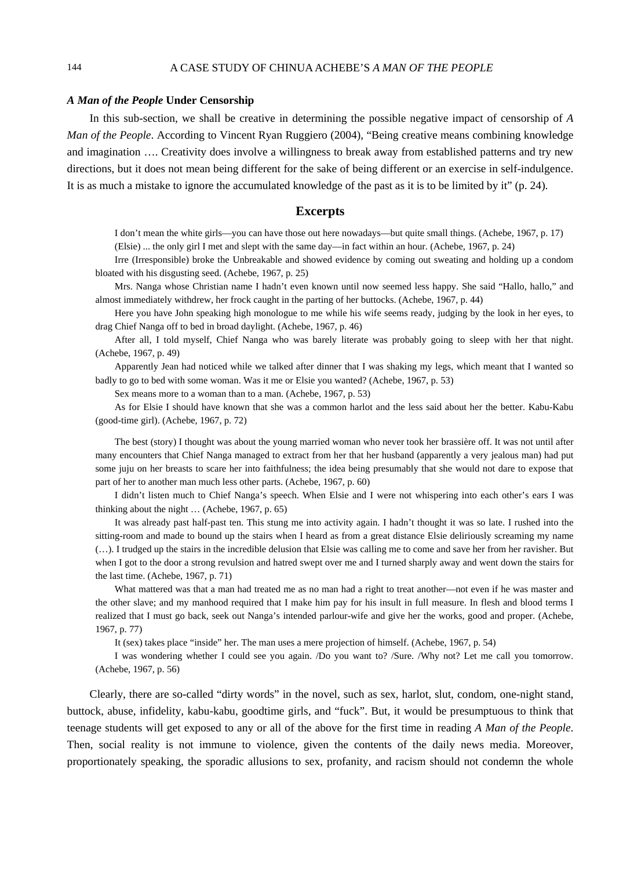#### *A Man of the People* **Under Censorship**

In this sub-section, we shall be creative in determining the possible negative impact of censorship of *A Man of the People*. According to Vincent Ryan Ruggiero (2004), "Being creative means combining knowledge and imagination …. Creativity does involve a willingness to break away from established patterns and try new directions, but it does not mean being different for the sake of being different or an exercise in self-indulgence. It is as much a mistake to ignore the accumulated knowledge of the past as it is to be limited by it" (p. 24).

### **Excerpts**

I don't mean the white girls—you can have those out here nowadays—but quite small things. (Achebe, 1967, p. 17) (Elsie) ... the only girl I met and slept with the same day—in fact within an hour. (Achebe, 1967, p. 24)

Irre (Irresponsible) broke the Unbreakable and showed evidence by coming out sweating and holding up a condom bloated with his disgusting seed. (Achebe, 1967, p. 25)

Mrs. Nanga whose Christian name I hadn't even known until now seemed less happy. She said "Hallo, hallo," and almost immediately withdrew, her frock caught in the parting of her buttocks. (Achebe, 1967, p. 44)

Here you have John speaking high monologue to me while his wife seems ready, judging by the look in her eyes, to drag Chief Nanga off to bed in broad daylight. (Achebe, 1967, p. 46)

After all, I told myself, Chief Nanga who was barely literate was probably going to sleep with her that night. (Achebe, 1967, p. 49)

Apparently Jean had noticed while we talked after dinner that I was shaking my legs, which meant that I wanted so badly to go to bed with some woman. Was it me or Elsie you wanted? (Achebe, 1967, p. 53)

Sex means more to a woman than to a man. (Achebe, 1967, p. 53)

As for Elsie I should have known that she was a common harlot and the less said about her the better. Kabu-Kabu (good-time girl). (Achebe, 1967, p. 72)

The best (story) I thought was about the young married woman who never took her brassière off. It was not until after many encounters that Chief Nanga managed to extract from her that her husband (apparently a very jealous man) had put some juju on her breasts to scare her into faithfulness; the idea being presumably that she would not dare to expose that part of her to another man much less other parts. (Achebe, 1967, p. 60)

I didn't listen much to Chief Nanga's speech. When Elsie and I were not whispering into each other's ears I was thinking about the night … (Achebe, 1967, p. 65)

It was already past half-past ten. This stung me into activity again. I hadn't thought it was so late. I rushed into the sitting-room and made to bound up the stairs when I heard as from a great distance Elsie deliriously screaming my name (…). I trudged up the stairs in the incredible delusion that Elsie was calling me to come and save her from her ravisher. But when I got to the door a strong revulsion and hatred swept over me and I turned sharply away and went down the stairs for the last time. (Achebe, 1967, p. 71)

What mattered was that a man had treated me as no man had a right to treat another—not even if he was master and the other slave; and my manhood required that I make him pay for his insult in full measure. In flesh and blood terms I realized that I must go back, seek out Nanga's intended parlour-wife and give her the works, good and proper. (Achebe, 1967, p. 77)

It (sex) takes place "inside" her. The man uses a mere projection of himself. (Achebe, 1967, p. 54)

I was wondering whether I could see you again. /Do you want to? /Sure. /Why not? Let me call you tomorrow. (Achebe, 1967, p. 56)

Clearly, there are so-called "dirty words" in the novel, such as sex, harlot, slut, condom, one-night stand, buttock, abuse, infidelity, kabu-kabu, goodtime girls, and "fuck". But, it would be presumptuous to think that teenage students will get exposed to any or all of the above for the first time in reading *A Man of the People*. Then, social reality is not immune to violence, given the contents of the daily news media. Moreover, proportionately speaking, the sporadic allusions to sex, profanity, and racism should not condemn the whole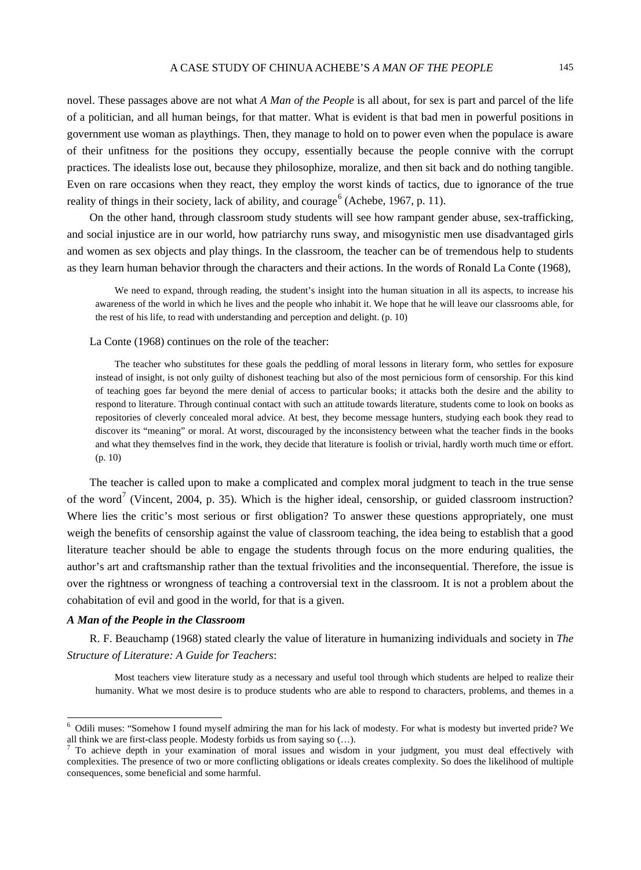novel. These passages above are not what *A Man of the People* is all about, for sex is part and parcel of the life of a politician, and all human beings, for that matter. What is evident is that bad men in powerful positions in government use woman as playthings. Then, they manage to hold on to power even when the populace is aware of their unfitness for the positions they occupy, essentially because the people connive with the corrupt practices. The idealists lose out, because they philosophize, moralize, and then sit back and do nothing tangible. Even on rare occasions when they react, they employ the worst kinds of tactics, due to ignorance of the true reality of things in their society, lack of ability, and courage  $6$  (Achebe, 1967, p. 11).

On the other hand, through classroom study students will see how rampant gender abuse, sex-trafficking, and social injustice are in our world, how patriarchy runs sway, and misogynistic men use disadvantaged girls and women as sex objects and play things. In the classroom, the teacher can be of tremendous help to students as they learn human behavior through the characters and their actions. In the words of Ronald La Conte (1968),

We need to expand, through reading, the student's insight into the human situation in all its aspects, to increase his awareness of the world in which he lives and the people who inhabit it. We hope that he will leave our classrooms able, for the rest of his life, to read with understanding and perception and delight. (p. 10)

La Conte (1968) continues on the role of the teacher:

The teacher who substitutes for these goals the peddling of moral lessons in literary form, who settles for exposure instead of insight, is not only guilty of dishonest teaching but also of the most pernicious form of censorship. For this kind of teaching goes far beyond the mere denial of access to particular books; it attacks both the desire and the ability to respond to literature. Through continual contact with such an attitude towards literature, students come to look on books as repositories of cleverly concealed moral advice. At best, they become message hunters, studying each book they read to discover its "meaning" or moral. At worst, discouraged by the inconsistency between what the teacher finds in the books and what they themselves find in the work, they decide that literature is foolish or trivial, hardly worth much time or effort. (p. 10)

The teacher is called upon to make a complicated and complex moral judgment to teach in the true sense of the word<sup>[7](#page-4-0)</sup> (Vincent, 2004, p. 35). Which is the higher ideal, censorship, or guided classroom instruction? Where lies the critic's most serious or first obligation? To answer these questions appropriately, one must weigh the benefits of censorship against the value of classroom teaching, the idea being to establish that a good literature teacher should be able to engage the students through focus on the more enduring qualities, the author's art and craftsmanship rather than the textual frivolities and the inconsequential. Therefore, the issue is over the rightness or wrongness of teaching a controversial text in the classroom. It is not a problem about the cohabitation of evil and good in the world, for that is a given.

#### *A Man of the People in the Classroom*

R. F. Beauchamp (1968) stated clearly the value of literature in humanizing individuals and society in *The Structure of Literature: A Guide for Teachers*:

Most teachers view literature study as a necessary and useful tool through which students are helped to realize their humanity. What we most desire is to produce students who are able to respond to characters, problems, and themes in a

<span id="page-4-0"></span><sup>&</sup>lt;sup>6</sup> Odili muses: "Somehow I found myself admiring the man for his lack of modesty. For what is modesty but inverted pride? We all think we are first-class people. Modesty forbids us from saying so  $(...)$ .

 $\frac{7}{10}$  To achieve depth in your examination of moral issues and wisdom in your judgment, you must deal effectively with complexities. The presence of two or more conflicting obligations or ideals creates complexity. So does the likelihood of multiple consequences, some beneficial and some harmful.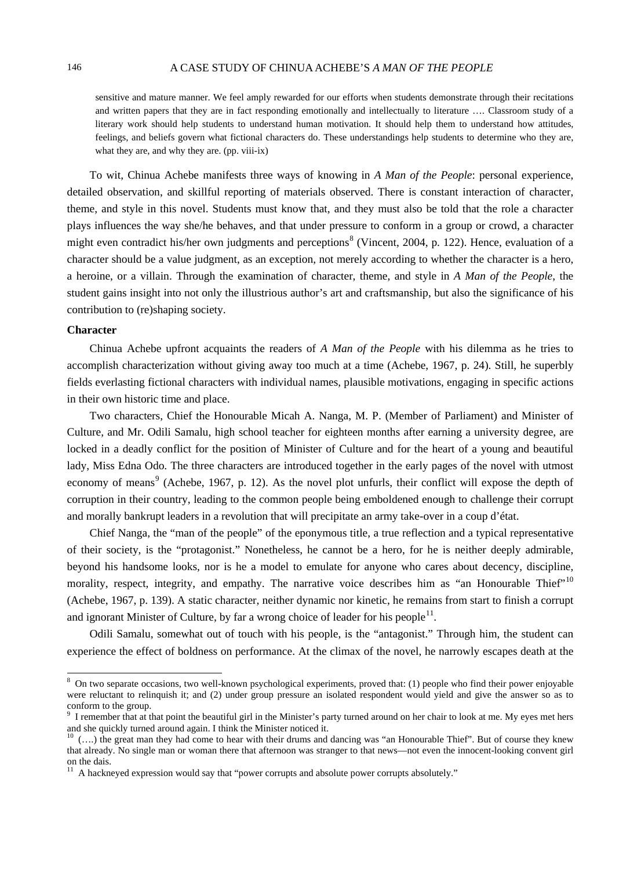# 146 A CASE STUDY OF CHINUA ACHEBE'S *A MAN OF THE PEOPLE*

sensitive and mature manner. We feel amply rewarded for our efforts when students demonstrate through their recitations and written papers that they are in fact responding emotionally and intellectually to literature …. Classroom study of a literary work should help students to understand human motivation. It should help them to understand how attitudes, feelings, and beliefs govern what fictional characters do. These understandings help students to determine who they are, what they are, and why they are. (pp. viii-ix)

To wit, Chinua Achebe manifests three ways of knowing in *A Man of the People*: personal experience, detailed observation, and skillful reporting of materials observed. There is constant interaction of character, theme, and style in this novel. Students must know that, and they must also be told that the role a character plays influences the way she/he behaves, and that under pressure to conform in a group or crowd, a character might even contradict his/her own judgments and perceptions<sup>[8](#page-5-0)</sup> (Vincent, 2004, p. 122). Hence, evaluation of a character should be a value judgment, as an exception, not merely according to whether the character is a hero, a heroine, or a villain. Through the examination of character, theme, and style in *A Man of the People*, the student gains insight into not only the illustrious author's art and craftsmanship, but also the significance of his contribution to (re)shaping society.

#### **Character**

Chinua Achebe upfront acquaints the readers of *A Man of the People* with his dilemma as he tries to accomplish characterization without giving away too much at a time (Achebe, 1967, p. 24). Still, he superbly fields everlasting fictional characters with individual names, plausible motivations, engaging in specific actions in their own historic time and place.

Two characters, Chief the Honourable Micah A. Nanga, M. P. (Member of Parliament) and Minister of Culture, and Mr. Odili Samalu, high school teacher for eighteen months after earning a university degree, are locked in a deadly conflict for the position of Minister of Culture and for the heart of a young and beautiful lady, Miss Edna Odo. The three characters are introduced together in the early pages of the novel with utmost economy of means<sup>[9](#page-5-0)</sup> (Achebe, 1967, p. 12). As the novel plot unfurls, their conflict will expose the depth of corruption in their country, leading to the common people being emboldened enough to challenge their corrupt and morally bankrupt leaders in a revolution that will precipitate an army take-over in a coup d'état.

Chief Nanga, the "man of the people" of the eponymous title, a true reflection and a typical representative of their society, is the "protagonist." Nonetheless, he cannot be a hero, for he is neither deeply admirable, beyond his handsome looks, nor is he a model to emulate for anyone who cares about decency, discipline, morality, respect, integrity, and empathy. The narrative voice describes him as "an Honourable Thief", [10](#page-5-0) (Achebe, 1967, p. 139). A static character, neither dynamic nor kinetic, he remains from start to finish a corrupt and ignorant Minister of Culture, by far a wrong choice of leader for his people $^{11}$  $^{11}$  $^{11}$ .

Odili Samalu, somewhat out of touch with his people, is the "antagonist." Through him, the student can experience the effect of boldness on performance. At the climax of the novel, he narrowly escapes death at the

<span id="page-5-0"></span><sup>&</sup>lt;sup>8</sup> On two separate occasions, two well-known psychological experiments, proved that: (1) people who find their power enjoyable were reluctant to relinquish it; and (2) under group pressure an isolated respondent would yield and give the answer so as to conform to the group.

 $9$  I remember that at that point the beautiful girl in the Minister's party turned around on her chair to look at me. My eyes met hers and she quickly turned around again. I think the Minister noticed it.

 $10$  (....) the great man they had come to hear with their drums and dancing was "an Honourable Thief". But of course they knew that already. No single man or woman there that afternoon was stranger to that news—not even the innocent-looking convent girl on the dais.

<sup>&</sup>lt;sup>11</sup> A hackneyed expression would say that "power corrupts and absolute power corrupts absolutely."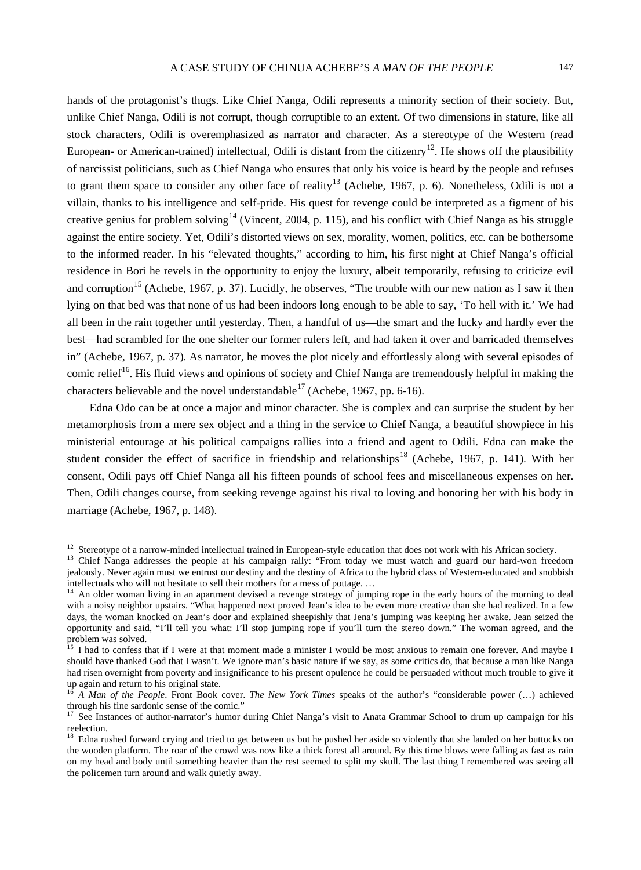hands of the protagonist's thugs. Like Chief Nanga, Odili represents a minority section of their society. But, unlike Chief Nanga, Odili is not corrupt, though corruptible to an extent. Of two dimensions in stature, like all stock characters, Odili is overemphasized as narrator and character. As a stereotype of the Western (read European- or American-trained) intellectual, Odili is distant from the citizenry<sup>12</sup>. He shows off the plausibility of narcissist politicians, such as Chief Nanga who ensures that only his voice is heard by the people and refuses to grant them space to consider any other face of reality<sup>[13](#page-6-0)</sup> (Achebe, 1967, p. 6). Nonetheless, Odili is not a villain, thanks to his intelligence and self-pride. His quest for revenge could be interpreted as a figment of his creative genius for problem solving<sup>[14](#page-6-0)</sup> (Vincent, 2004, p. 115), and his conflict with Chief Nanga as his struggle against the entire society. Yet, Odili's distorted views on sex, morality, women, politics, etc. can be bothersome to the informed reader. In his "elevated thoughts," according to him, his first night at Chief Nanga's official residence in Bori he revels in the opportunity to enjoy the luxury, albeit temporarily, refusing to criticize evil and corruption<sup>[15](#page-6-0)</sup> (Achebe, 1967, p. 37). Lucidly, he observes, "The trouble with our new nation as I saw it then lying on that bed was that none of us had been indoors long enough to be able to say, 'To hell with it.' We had all been in the rain together until yesterday. Then, a handful of us—the smart and the lucky and hardly ever the best—had scrambled for the one shelter our former rulers left, and had taken it over and barricaded themselves in" (Achebe, 1967, p. 37). As narrator, he moves the plot nicely and effortlessly along with several episodes of comic relief<sup>[16](#page-6-0)</sup>. His fluid views and opinions of society and Chief Nanga are tremendously helpful in making the characters believable and the novel understandable  $17$  (Achebe, 1967, pp. 6-16).

Edna Odo can be at once a major and minor character. She is complex and can surprise the student by her metamorphosis from a mere sex object and a thing in the service to Chief Nanga, a beautiful showpiece in his ministerial entourage at his political campaigns rallies into a friend and agent to Odili. Edna can make the student consider the effect of sacrifice in friendship and relationships<sup>[18](#page-6-0)</sup> (Achebe, 1967, p. 141). With her consent, Odili pays off Chief Nanga all his fifteen pounds of school fees and miscellaneous expenses on her. Then, Odili changes course, from seeking revenge against his rival to loving and honoring her with his body in marriage (Achebe, 1967, p. 148).

<span id="page-6-0"></span><sup>&</sup>lt;sup>12</sup> Stereotype of a narrow-minded intellectual trained in European-style education that does not work with his African society.<br><sup>13</sup> Chief Nanga addresses the people at his campaign rally: "From today we must watch and g jealously. Never again must we entrust our destiny and the destiny of Africa to the hybrid class of Western-educated and snobbish intellectuals who will not hesitate to sell their mothers for a mess of pottage. ...

<sup>&</sup>lt;sup>14</sup> An older woman living in an apartment devised a revenge strategy of jumping rope in the early hours of the morning to deal with a noisy neighbor upstairs. "What happened next proved Jean's idea to be even more creative than she had realized. In a few days, the woman knocked on Jean's door and explained sheepishly that Jena's jumping was keeping her awake. Jean seized the opportunity and said, "I'll tell you what: I'll stop jumping rope if you'll turn the stereo down." The woman agreed, and the problem was solved.

I had to confess that if I were at that moment made a minister I would be most anxious to remain one forever. And maybe I should have thanked God that I wasn't. We ignore man's basic nature if we say, as some critics do, that because a man like Nanga had risen overnight from poverty and insignificance to his present opulence he could be persuaded without much trouble to give it up again and return to his original state.<br><sup>16</sup> *A Man of the People*. Front Book cover. *The New York Times* speaks of the author's "considerable power (...) achieved

through his fine sardonic sense of the comic."

<sup>17</sup> See Instances of author-narrator's humor during Chief Nanga's visit to Anata Grammar School to drum up campaign for his reelection.

<sup>&</sup>lt;sup>18</sup> Edna rushed forward crying and tried to get between us but he pushed her aside so violently that she landed on her buttocks on the wooden platform. The roar of the crowd was now like a thick forest all around. By this time blows were falling as fast as rain on my head and body until something heavier than the rest seemed to split my skull. The last thing I remembered was seeing all the policemen turn around and walk quietly away.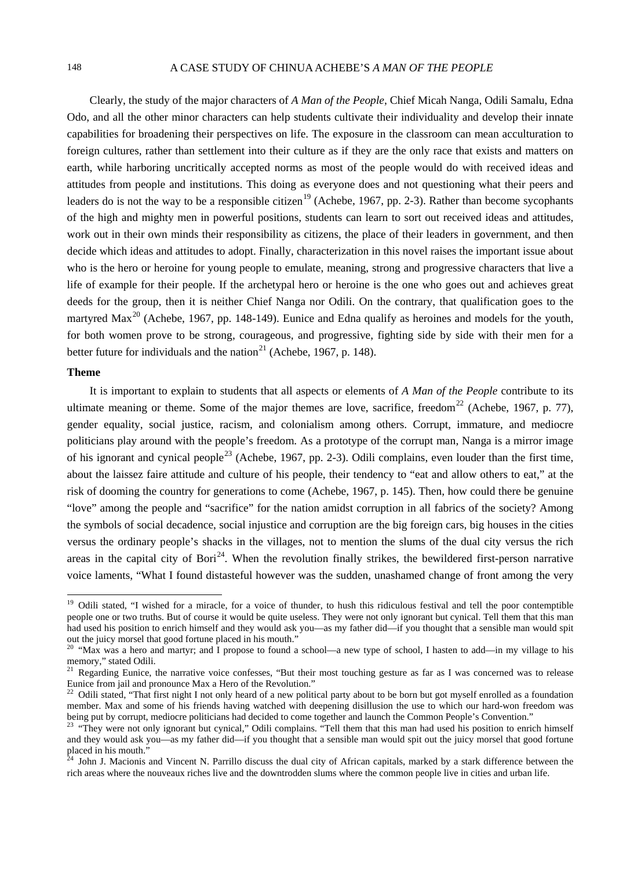# 148 A CASE STUDY OF CHINUA ACHEBE'S *A MAN OF THE PEOPLE*

Clearly, the study of the major characters of *A Man of the People*, Chief Micah Nanga, Odili Samalu, Edna Odo, and all the other minor characters can help students cultivate their individuality and develop their innate capabilities for broadening their perspectives on life. The exposure in the classroom can mean acculturation to foreign cultures, rather than settlement into their culture as if they are the only race that exists and matters on earth, while harboring uncritically accepted norms as most of the people would do with received ideas and attitudes from people and institutions. This doing as everyone does and not questioning what their peers and leaders do is not the way to be a responsible citizen<sup>[19](#page-7-0)</sup> (Achebe, 1967, pp. 2-3). Rather than become sycophants of the high and mighty men in powerful positions, students can learn to sort out received ideas and attitudes, work out in their own minds their responsibility as citizens, the place of their leaders in government, and then decide which ideas and attitudes to adopt. Finally, characterization in this novel raises the important issue about who is the hero or heroine for young people to emulate, meaning, strong and progressive characters that live a life of example for their people. If the archetypal hero or heroine is the one who goes out and achieves great deeds for the group, then it is neither Chief Nanga nor Odili. On the contrary, that qualification goes to the martyred Max<sup>[20](#page-7-0)</sup> (Achebe, 1967, pp. 148-149). Eunice and Edna qualify as heroines and models for the youth, for both women prove to be strong, courageous, and progressive, fighting side by side with their men for a better future for individuals and the nation<sup>[21](#page-7-0)</sup> (Achebe, 1967, p. 148).

### **Theme**

It is important to explain to students that all aspects or elements of *A Man of the People* contribute to its ultimate meaning or theme. Some of the major themes are love, sacrifice, freedom<sup>[22](#page-7-0)</sup> (Achebe, 1967, p. 77), gender equality, social justice, racism, and colonialism among others. Corrupt, immature, and mediocre politicians play around with the people's freedom. As a prototype of the corrupt man, Nanga is a mirror image of his ignorant and cynical people<sup>[23](#page-7-0)</sup> (Achebe, 1967, pp. 2-3). Odili complains, even louder than the first time, about the laissez faire attitude and culture of his people, their tendency to "eat and allow others to eat," at the risk of dooming the country for generations to come (Achebe, 1967, p. 145). Then, how could there be genuine "love" among the people and "sacrifice" for the nation amidst corruption in all fabrics of the society? Among the symbols of social decadence, social injustice and corruption are the big foreign cars, big houses in the cities versus the ordinary people's shacks in the villages, not to mention the slums of the dual city versus the rich areas in the capital city of Bori<sup>[24](#page-7-0)</sup>. When the revolution finally strikes, the bewildered first-person narrative voice laments, "What I found distasteful however was the sudden, unashamed change of front among the very

<span id="page-7-0"></span><sup>&</sup>lt;sup>19</sup> Odili stated, "I wished for a miracle, for a voice of thunder, to hush this ridiculous festival and tell the poor contemptible people one or two truths. But of course it would be quite useless. They were not only ignorant but cynical. Tell them that this man had used his position to enrich himself and they would ask you—as my father did—if you thought that a sensible man would spit out the juicy morsel that good fortune placed in his mouth."

<sup>20</sup> "Max was a hero and martyr; and I propose to found a school—a new type of school, I hasten to add—in my village to his memory," stated Odili.<br><sup>21</sup> Regarding Eunice, the narrative voice confesses, "But their most touching gesture as far as I was concerned was to release

Eunice from jail and pronounce Max a Hero of the Revolution."

<sup>&</sup>lt;sup>22</sup> Odili stated, "That first night I not only heard of a new political party about to be born but got myself enrolled as a foundation member. Max and some of his friends having watched with deepening disillusion the use to which our hard-won freedom was being put by corrupt, mediocre politicians had decided to come together and launch the Common People's Convention."<br><sup>23</sup> "They were not only ignorant but cynical," Odili complains. "Tell them that this man had used his pos

and they would ask you—as my father did—if you thought that a sensible man would spit out the juicy morsel that good fortune placed in his mouth."

John J. Macionis and Vincent N. Parrillo discuss the dual city of African capitals, marked by a stark difference between the rich areas where the nouveaux riches live and the downtrodden slums where the common people live in cities and urban life.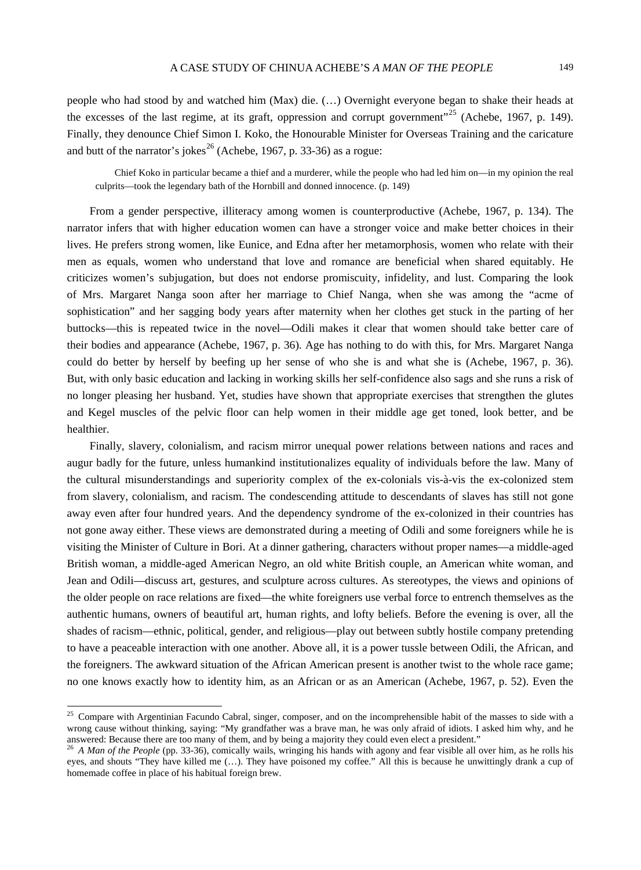people who had stood by and watched him (Max) die. (…) Overnight everyone began to shake their heads at the excesses of the last regime, at its graft, oppression and corrupt government"<sup>[25](#page-8-0)</sup> (Achebe, 1967, p. 149). Finally, they denounce Chief Simon I. Koko, the Honourable Minister for Overseas Training and the caricature and butt of the narrator's jokes<sup>[26](#page-8-0)</sup> (Achebe, 1967, p. 33-36) as a rogue:

Chief Koko in particular became a thief and a murderer, while the people who had led him on—in my opinion the real culprits—took the legendary bath of the Hornbill and donned innocence. (p. 149)

From a gender perspective, illiteracy among women is counterproductive (Achebe, 1967, p. 134). The narrator infers that with higher education women can have a stronger voice and make better choices in their lives. He prefers strong women, like Eunice, and Edna after her metamorphosis, women who relate with their men as equals, women who understand that love and romance are beneficial when shared equitably. He criticizes women's subjugation, but does not endorse promiscuity, infidelity, and lust. Comparing the look of Mrs. Margaret Nanga soon after her marriage to Chief Nanga, when she was among the "acme of sophistication" and her sagging body years after maternity when her clothes get stuck in the parting of her buttocks—this is repeated twice in the novel—Odili makes it clear that women should take better care of their bodies and appearance (Achebe, 1967, p. 36). Age has nothing to do with this, for Mrs. Margaret Nanga could do better by herself by beefing up her sense of who she is and what she is (Achebe, 1967, p. 36). But, with only basic education and lacking in working skills her self-confidence also sags and she runs a risk of no longer pleasing her husband. Yet, studies have shown that appropriate exercises that strengthen the glutes and Kegel muscles of the pelvic floor can help women in their middle age get toned, look better, and be healthier.

Finally, slavery, colonialism, and racism mirror unequal power relations between nations and races and augur badly for the future, unless humankind institutionalizes equality of individuals before the law. Many of the cultural misunderstandings and superiority complex of the ex-colonials vis-à-vis the ex-colonized stem from slavery, colonialism, and racism. The condescending attitude to descendants of slaves has still not gone away even after four hundred years. And the dependency syndrome of the ex-colonized in their countries has not gone away either. These views are demonstrated during a meeting of Odili and some foreigners while he is visiting the Minister of Culture in Bori. At a dinner gathering, characters without proper names—a middle-aged British woman, a middle-aged American Negro, an old white British couple, an American white woman, and Jean and Odili—discuss art, gestures, and sculpture across cultures. As stereotypes, the views and opinions of the older people on race relations are fixed—the white foreigners use verbal force to entrench themselves as the authentic humans, owners of beautiful art, human rights, and lofty beliefs. Before the evening is over, all the shades of racism—ethnic, political, gender, and religious—play out between subtly hostile company pretending to have a peaceable interaction with one another. Above all, it is a power tussle between Odili, the African, and the foreigners. The awkward situation of the African American present is another twist to the whole race game; no one knows exactly how to identity him, as an African or as an American (Achebe, 1967, p. 52). Even the

<span id="page-8-0"></span><sup>&</sup>lt;sup>25</sup> Compare with Argentinian Facundo Cabral, singer, composer, and on the incomprehensible habit of the masses to side with a wrong cause without thinking, saying: "My grandfather was a brave man, he was only afraid of idiots. I asked him why, and he answered: Because there are too many of them, and by being a majority they could even elect a president."

<sup>&</sup>lt;sup>26</sup> *A Man of the People* (pp. 33-36), comically wails, wringing his hands with agony and fear visible all over him, as he rolls his eyes, and shouts "They have killed me (…). They have poisoned my coffee." All this is because he unwittingly drank a cup of homemade coffee in place of his habitual foreign brew.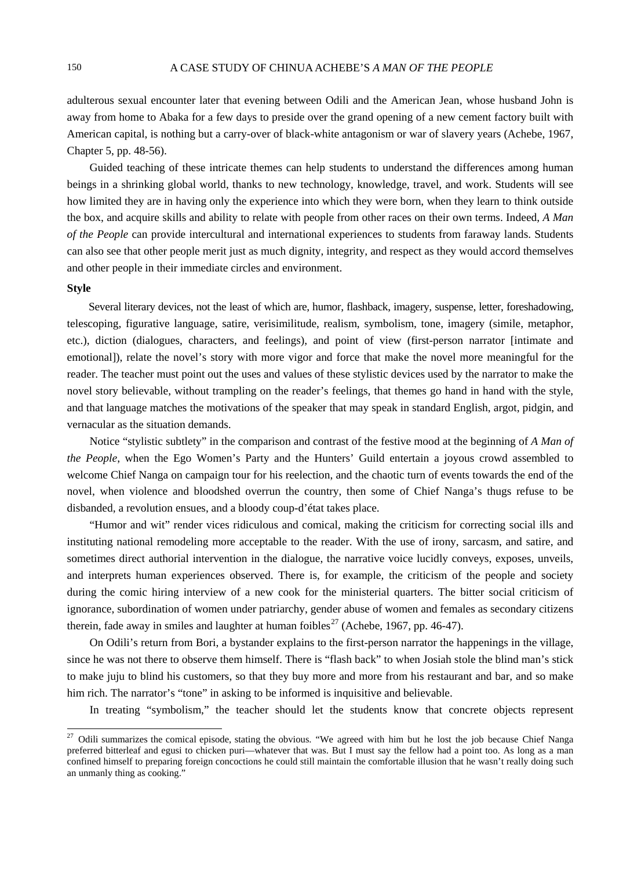adulterous sexual encounter later that evening between Odili and the American Jean, whose husband John is away from home to Abaka for a few days to preside over the grand opening of a new cement factory built with American capital, is nothing but a carry-over of black-white antagonism or war of slavery years (Achebe, 1967, Chapter 5, pp. 48-56).

Guided teaching of these intricate themes can help students to understand the differences among human beings in a shrinking global world, thanks to new technology, knowledge, travel, and work. Students will see how limited they are in having only the experience into which they were born, when they learn to think outside the box, and acquire skills and ability to relate with people from other races on their own terms. Indeed, *A Man of the People* can provide intercultural and international experiences to students from faraway lands. Students can also see that other people merit just as much dignity, integrity, and respect as they would accord themselves and other people in their immediate circles and environment.

# **Style**

Several literary devices, not the least of which are, humor, flashback, imagery, suspense, letter, foreshadowing, telescoping, figurative language, satire, verisimilitude, realism, symbolism, tone, imagery (simile, metaphor, etc.), diction (dialogues, characters, and feelings), and point of view (first-person narrator [intimate and emotional]), relate the novel's story with more vigor and force that make the novel more meaningful for the reader. The teacher must point out the uses and values of these stylistic devices used by the narrator to make the novel story believable, without trampling on the reader's feelings, that themes go hand in hand with the style, and that language matches the motivations of the speaker that may speak in standard English, argot, pidgin, and vernacular as the situation demands.

Notice "stylistic subtlety" in the comparison and contrast of the festive mood at the beginning of *A Man of the People*, when the Ego Women's Party and the Hunters' Guild entertain a joyous crowd assembled to welcome Chief Nanga on campaign tour for his reelection, and the chaotic turn of events towards the end of the novel, when violence and bloodshed overrun the country, then some of Chief Nanga's thugs refuse to be disbanded, a revolution ensues, and a bloody coup-d'état takes place.

"Humor and wit" render vices ridiculous and comical, making the criticism for correcting social ills and instituting national remodeling more acceptable to the reader. With the use of irony, sarcasm, and satire, and sometimes direct authorial intervention in the dialogue, the narrative voice lucidly conveys, exposes, unveils, and interprets human experiences observed. There is, for example, the criticism of the people and society during the comic hiring interview of a new cook for the ministerial quarters. The bitter social criticism of ignorance, subordination of women under patriarchy, gender abuse of women and females as secondary citizens therein, fade away in smiles and laughter at human foibles<sup>[27](#page-9-0)</sup> (Achebe, 1967, pp. 46-47).

On Odili's return from Bori, a bystander explains to the first-person narrator the happenings in the village, since he was not there to observe them himself. There is "flash back" to when Josiah stole the blind man's stick to make juju to blind his customers, so that they buy more and more from his restaurant and bar, and so make him rich. The narrator's "tone" in asking to be informed is inquisitive and believable.

In treating "symbolism," the teacher should let the students know that concrete objects represent

<span id="page-9-0"></span><sup>&</sup>lt;sup>27</sup> Odili summarizes the comical episode, stating the obvious. "We agreed with him but he lost the job because Chief Nanga preferred bitterleaf and egusi to chicken puri—whatever that was. But I must say the fellow had a point too. As long as a man confined himself to preparing foreign concoctions he could still maintain the comfortable illusion that he wasn't really doing such an unmanly thing as cooking."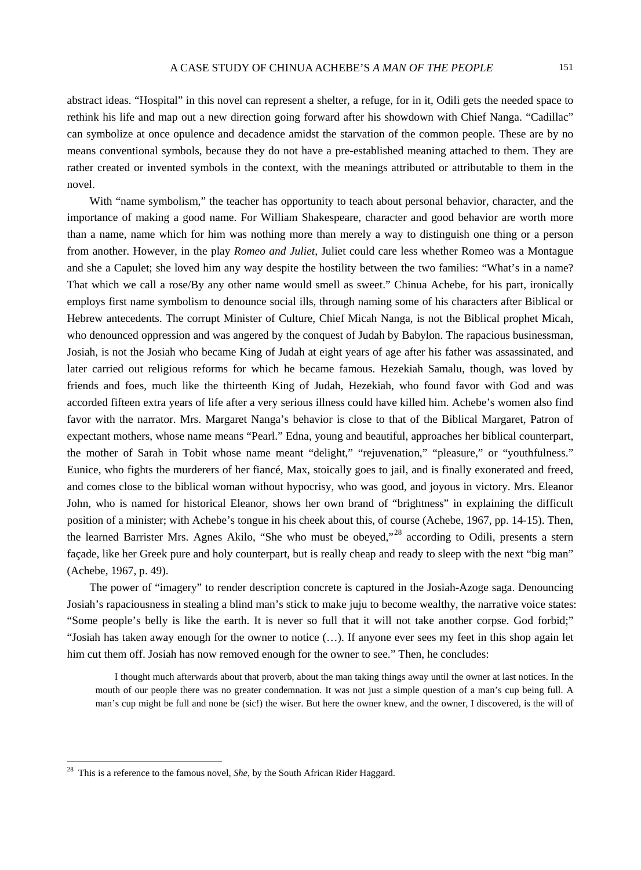abstract ideas. "Hospital" in this novel can represent a shelter, a refuge, for in it, Odili gets the needed space to rethink his life and map out a new direction going forward after his showdown with Chief Nanga. "Cadillac" can symbolize at once opulence and decadence amidst the starvation of the common people. These are by no means conventional symbols, because they do not have a pre-established meaning attached to them. They are rather created or invented symbols in the context, with the meanings attributed or attributable to them in the novel.

With "name symbolism," the teacher has opportunity to teach about personal behavior, character, and the importance of making a good name. For William Shakespeare, character and good behavior are worth more than a name, name which for him was nothing more than merely a way to distinguish one thing or a person from another. However, in the play *Romeo and Juliet*, Juliet could care less whether Romeo was a Montague and she a Capulet; she loved him any way despite the hostility between the two families: "What's in a name? That which we call a rose/By any other name would smell as sweet." Chinua Achebe, for his part, ironically employs first name symbolism to denounce social ills, through naming some of his characters after Biblical or Hebrew antecedents. The corrupt Minister of Culture, Chief Micah Nanga, is not the Biblical prophet Micah, who denounced oppression and was angered by the conquest of Judah by Babylon. The rapacious businessman, Josiah, is not the Josiah who became King of Judah at eight years of age after his father was assassinated, and later carried out religious reforms for which he became famous. Hezekiah Samalu, though, was loved by friends and foes, much like the thirteenth King of Judah, Hezekiah, who found favor with God and was accorded fifteen extra years of life after a very serious illness could have killed him. Achebe's women also find favor with the narrator. Mrs. Margaret Nanga's behavior is close to that of the Biblical Margaret, Patron of expectant mothers, whose name means "Pearl." Edna, young and beautiful, approaches her biblical counterpart, the mother of Sarah in Tobit whose name meant "delight," "rejuvenation," "pleasure," or "youthfulness." Eunice, who fights the murderers of her fiancé, Max, stoically goes to jail, and is finally exonerated and freed, and comes close to the biblical woman without hypocrisy, who was good, and joyous in victory. Mrs. Eleanor John, who is named for historical Eleanor, shows her own brand of "brightness" in explaining the difficult position of a minister; with Achebe's tongue in his cheek about this, of course (Achebe, 1967, pp. 14-15). Then, the learned Barrister Mrs. Agnes Akilo, "She who must be obeyed,"<sup>[28](#page-10-0)</sup> according to Odili, presents a stern façade, like her Greek pure and holy counterpart, but is really cheap and ready to sleep with the next "big man" (Achebe, 1967, p. 49).

The power of "imagery" to render description concrete is captured in the Josiah-Azoge saga. Denouncing Josiah's rapaciousness in stealing a blind man's stick to make juju to become wealthy, the narrative voice states: "Some people's belly is like the earth. It is never so full that it will not take another corpse. God forbid;" "Josiah has taken away enough for the owner to notice (…). If anyone ever sees my feet in this shop again let him cut them off. Josiah has now removed enough for the owner to see." Then, he concludes:

I thought much afterwards about that proverb, about the man taking things away until the owner at last notices. In the mouth of our people there was no greater condemnation. It was not just a simple question of a man's cup being full. A man's cup might be full and none be (sic!) the wiser. But here the owner knew, and the owner, I discovered, is the will of

<span id="page-10-0"></span> <sup>28</sup> This is a reference to the famous novel, *She*, by the South African Rider Haggard.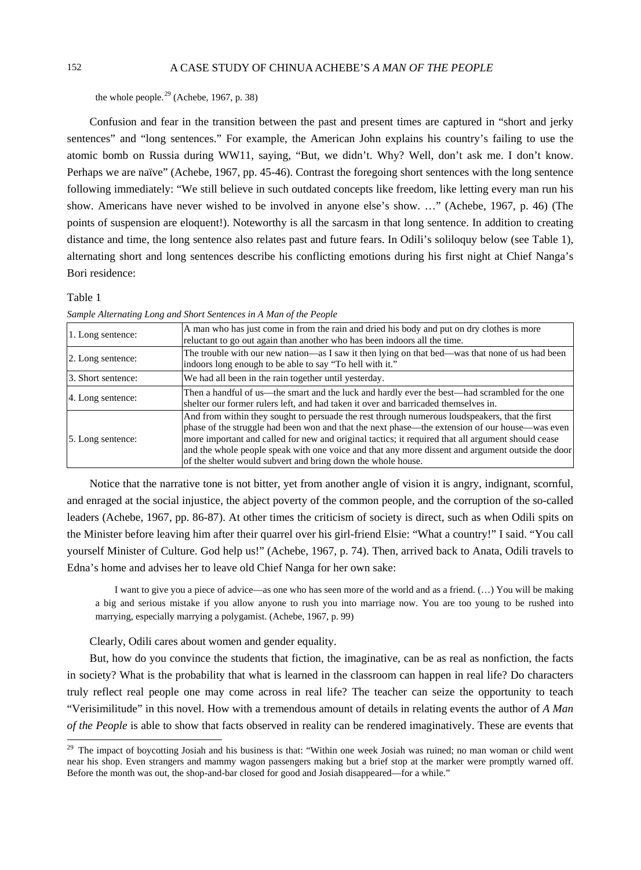the whole people. $^{29}$  $^{29}$  $^{29}$  (Achebe, 1967, p. 38)

Confusion and fear in the transition between the past and present times are captured in "short and jerky sentences" and "long sentences." For example, the American John explains his country's failing to use the atomic bomb on Russia during WW11, saying, "But, we didn't. Why? Well, don't ask me. I don't know. Perhaps we are naïve" (Achebe, 1967, pp. 45-46). Contrast the foregoing short sentences with the long sentence following immediately: "We still believe in such outdated concepts like freedom, like letting every man run his show. Americans have never wished to be involved in anyone else's show. …" (Achebe, 1967, p. 46) (The points of suspension are eloquent!). Noteworthy is all the sarcasm in that long sentence. In addition to creating distance and time, the long sentence also relates past and future fears. In Odili's soliloquy below (see Table 1), alternating short and long sentences describe his conflicting emotions during his first night at Chief Nanga's Bori residence:

#### Table 1

*Sample Alternating Long and Short Sentences in A Man of the People*

| 1. Long sentence:  | A man who has just come in from the rain and dried his body and put on dry clothes is more<br>reluctant to go out again than another who has been indoors all the time.                                                                                                                                                                                                                                                                                                     |
|--------------------|-----------------------------------------------------------------------------------------------------------------------------------------------------------------------------------------------------------------------------------------------------------------------------------------------------------------------------------------------------------------------------------------------------------------------------------------------------------------------------|
| 2. Long sentence:  | The trouble with our new nation—as I saw it then lying on that bed—was that none of us had been<br>indoors long enough to be able to say "To hell with it."                                                                                                                                                                                                                                                                                                                 |
| 3. Short sentence: | We had all been in the rain together until yesterday.                                                                                                                                                                                                                                                                                                                                                                                                                       |
| 4. Long sentence:  | Then a handful of us—the smart and the luck and hardly ever the best—had scrambled for the one<br>shelter our former rulers left, and had taken it over and barricaded themselves in.                                                                                                                                                                                                                                                                                       |
| 5. Long sentence:  | And from within they sought to persuade the rest through numerous loudspeakers, that the first<br>phase of the struggle had been won and that the next phase—the extension of our house—was even<br>more important and called for new and original tactics; it required that all argument should cease<br>and the whole people speak with one voice and that any more dissent and argument outside the door<br>of the shelter would subvert and bring down the whole house. |

Notice that the narrative tone is not bitter, yet from another angle of vision it is angry, indignant, scornful, and enraged at the social injustice, the abject poverty of the common people, and the corruption of the so-called leaders (Achebe, 1967, pp. 86-87). At other times the criticism of society is direct, such as when Odili spits on the Minister before leaving him after their quarrel over his girl-friend Elsie: "What a country!" I said. "You call yourself Minister of Culture. God help us!" (Achebe, 1967, p. 74). Then, arrived back to Anata, Odili travels to Edna's home and advises her to leave old Chief Nanga for her own sake:

I want to give you a piece of advice—as one who has seen more of the world and as a friend. (…) You will be making a big and serious mistake if you allow anyone to rush you into marriage now. You are too young to be rushed into marrying, especially marrying a polygamist. (Achebe, 1967, p. 99)

Clearly, Odili cares about women and gender equality.

But, how do you convince the students that fiction, the imaginative, can be as real as nonfiction, the facts in society? What is the probability that what is learned in the classroom can happen in real life? Do characters truly reflect real people one may come across in real life? The teacher can seize the opportunity to teach "Verisimilitude" in this novel. How with a tremendous amount of details in relating events the author of *A Man of the People* is able to show that facts observed in reality can be rendered imaginatively. These are events that

<span id="page-11-0"></span><sup>&</sup>lt;sup>29</sup> The impact of boycotting Josiah and his business is that: "Within one week Josiah was ruined; no man woman or child went near his shop. Even strangers and mammy wagon passengers making but a brief stop at the marker were promptly warned off. Before the month was out, the shop-and-bar closed for good and Josiah disappeared—for a while."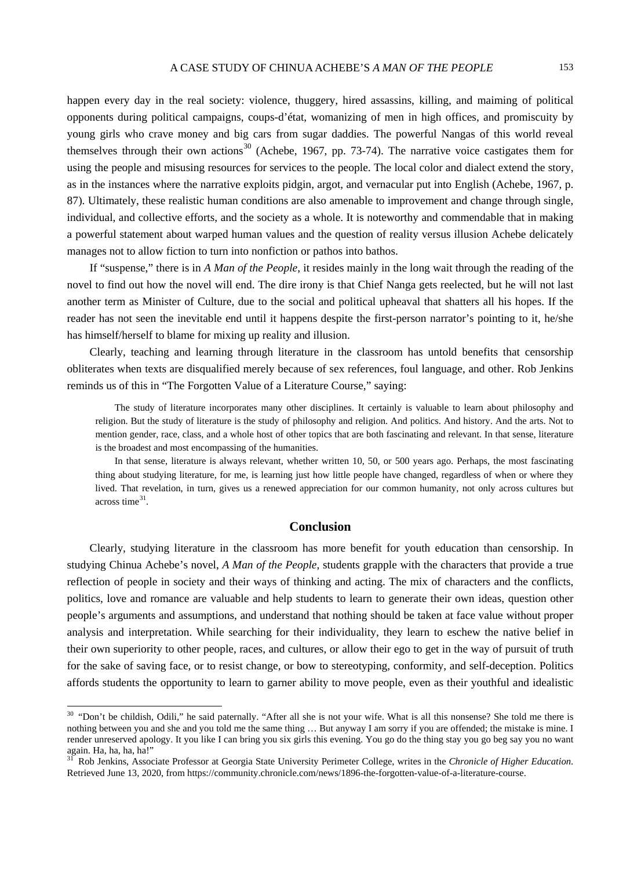happen every day in the real society: violence, thuggery, hired assassins, killing, and maiming of political opponents during political campaigns, coups-d'état, womanizing of men in high offices, and promiscuity by young girls who crave money and big cars from sugar daddies. The powerful Nangas of this world reveal themselves through their own actions<sup>[30](#page-12-0)</sup> (Achebe, 1967, pp. 73-74). The narrative voice castigates them for using the people and misusing resources for services to the people. The local color and dialect extend the story, as in the instances where the narrative exploits pidgin, argot, and vernacular put into English (Achebe, 1967, p. 87). Ultimately, these realistic human conditions are also amenable to improvement and change through single, individual, and collective efforts, and the society as a whole. It is noteworthy and commendable that in making a powerful statement about warped human values and the question of reality versus illusion Achebe delicately manages not to allow fiction to turn into nonfiction or pathos into bathos.

If "suspense," there is in *A Man of the People*, it resides mainly in the long wait through the reading of the novel to find out how the novel will end. The dire irony is that Chief Nanga gets reelected, but he will not last another term as Minister of Culture, due to the social and political upheaval that shatters all his hopes. If the reader has not seen the inevitable end until it happens despite the first-person narrator's pointing to it, he/she has himself/herself to blame for mixing up reality and illusion.

Clearly, teaching and learning through literature in the classroom has untold benefits that censorship obliterates when texts are disqualified merely because of sex references, foul language, and other. Rob Jenkins reminds us of this in "The Forgotten Value of a Literature Course," saying:

The study of literature incorporates many other disciplines. It certainly is valuable to learn about philosophy and religion. But the study of literature is the study of philosophy and religion. And politics. And history. And the arts. Not to mention gender, race, class, and a whole host of other topics that are both fascinating and relevant. In that sense, literature is the broadest and most encompassing of the humanities.

In that sense, literature is always relevant, whether written 10, 50, or 500 years ago. Perhaps, the most fascinating thing about studying literature, for me, is learning just how little people have changed, regardless of when or where they lived. That revelation, in turn, gives us a renewed appreciation for our common humanity, not only across cultures but across time [31](#page-12-0) .

# **Conclusion**

Clearly, studying literature in the classroom has more benefit for youth education than censorship. In studying Chinua Achebe's novel, *A Man of the People*, students grapple with the characters that provide a true reflection of people in society and their ways of thinking and acting. The mix of characters and the conflicts, politics, love and romance are valuable and help students to learn to generate their own ideas, question other people's arguments and assumptions, and understand that nothing should be taken at face value without proper analysis and interpretation. While searching for their individuality, they learn to eschew the native belief in their own superiority to other people, races, and cultures, or allow their ego to get in the way of pursuit of truth for the sake of saving face, or to resist change, or bow to stereotyping, conformity, and self-deception. Politics affords students the opportunity to learn to garner ability to move people, even as their youthful and idealistic

<span id="page-12-0"></span><sup>&</sup>lt;sup>30</sup> "Don't be childish, Odili," he said paternally. "After all she is not your wife. What is all this nonsense? She told me there is nothing between you and she and you told me the same thing … But anyway I am sorry if you are offended; the mistake is mine. I render unreserved apology. It you like I can bring you six girls this evening. You go do the thing stay you go beg say you no want again. Ha, ha, ha, ha!"<br><sup>31</sup> Rob Jenkins, Associate Professor at Georgia State University Perimeter College, writes in the *Chronicle of Higher Education*.

Retrieved June 13, 2020, from [https://community.chronicle.com/news/1896-the-forgotten-value-of-a-literature-course.](https://community.chronicle.com/news/1896-the-forgotten-value-of-a-literature-course)